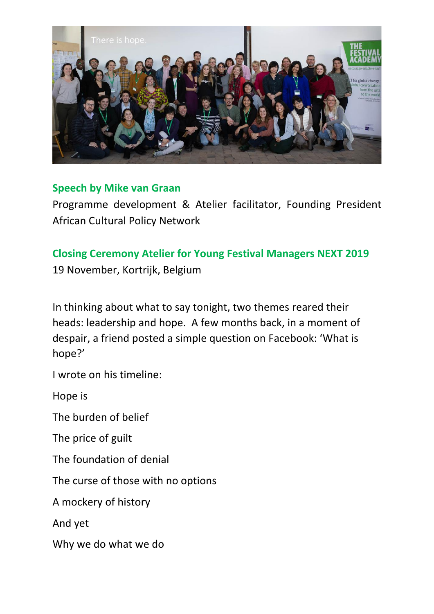

## **Speech by Mike van Graan**

Programme development & Atelier facilitator, Founding President African Cultural Policy Network

## **Closing Ceremony Atelier for Young Festival Managers NEXT 2019**

19 November, Kortrijk, Belgium

In thinking about what to say tonight, two themes reared their heads: leadership and hope. A few months back, in a moment of despair, a friend posted a simple question on Facebook: 'What is hope?'

I wrote on his timeline:

Hope is

The burden of belief

The price of guilt

The foundation of denial

The curse of those with no options

A mockery of history

And yet

Why we do what we do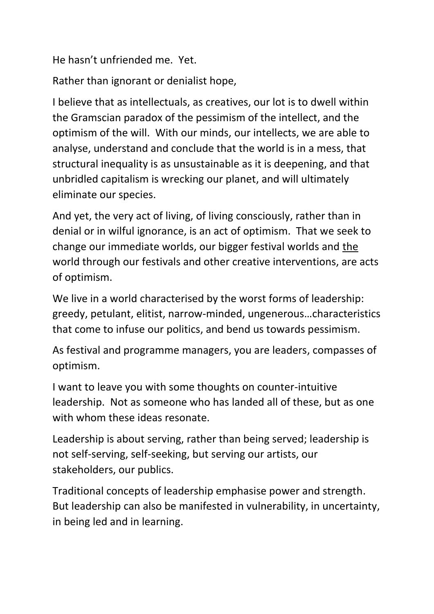He hasn't unfriended me. Yet.

Rather than ignorant or denialist hope,

I believe that as intellectuals, as creatives, our lot is to dwell within the Gramscian paradox of the pessimism of the intellect, and the optimism of the will. With our minds, our intellects, we are able to analyse, understand and conclude that the world is in a mess, that structural inequality is as unsustainable as it is deepening, and that unbridled capitalism is wrecking our planet, and will ultimately eliminate our species.

And yet, the very act of living, of living consciously, rather than in denial or in wilful ignorance, is an act of optimism. That we seek to change our immediate worlds, our bigger festival worlds and the world through our festivals and other creative interventions, are acts of optimism.

We live in a world characterised by the worst forms of leadership: greedy, petulant, elitist, narrow-minded, ungenerous…characteristics that come to infuse our politics, and bend us towards pessimism.

As festival and programme managers, you are leaders, compasses of optimism.

I want to leave you with some thoughts on counter-intuitive leadership. Not as someone who has landed all of these, but as one with whom these ideas resonate.

Leadership is about serving, rather than being served; leadership is not self-serving, self-seeking, but serving our artists, our stakeholders, our publics.

Traditional concepts of leadership emphasise power and strength. But leadership can also be manifested in vulnerability, in uncertainty, in being led and in learning.